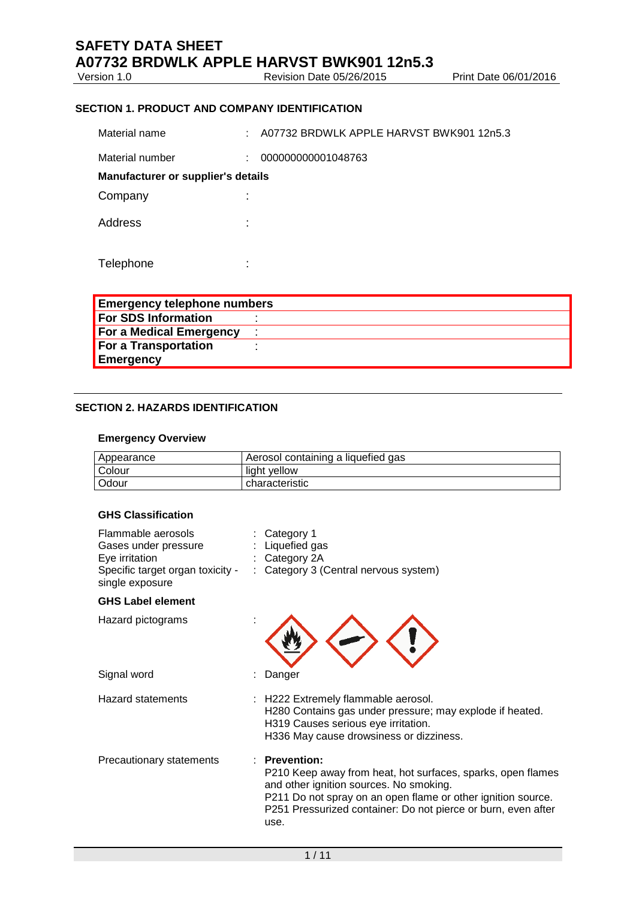Version 1.0 Revision Date 05/26/2015 Print Date 06/01/2016

## **SECTION 1. PRODUCT AND COMPANY IDENTIFICATION**

| Material name                      |                     | A07732 BRDWLK APPLE HARVST BWK901 12n5.3 |
|------------------------------------|---------------------|------------------------------------------|
| Material number                    | ÷                   | 000000000001048763                       |
| Manufacturer or supplier's details |                     |                                          |
| Company                            | ٠                   |                                          |
| Address                            | ٠<br>×              |                                          |
| Telephone                          | ٠<br>$\blacksquare$ |                                          |

| <b>Emergency telephone numbers</b> |  |
|------------------------------------|--|
| <b>For SDS Information</b>         |  |
| <b>For a Medical Emergency</b>     |  |
| For a Transportation               |  |
| <b>Emergency</b>                   |  |

### **SECTION 2. HAZARDS IDENTIFICATION**

#### **Emergency Overview**

| Appearance | Aerosol containing a liquefied gas |
|------------|------------------------------------|
| Colour     | light vellow                       |
| l Odour    | characteristic                     |

### **GHS Classification**

| Flammable aerosols<br>Gases under pressure<br>Eye irritation<br>Specific target organ toxicity -<br>single exposure | Category 1<br>Liquefied gas<br>Category 2A<br>: Category 3 (Central nervous system)                                                                                                                                                                              |
|---------------------------------------------------------------------------------------------------------------------|------------------------------------------------------------------------------------------------------------------------------------------------------------------------------------------------------------------------------------------------------------------|
| <b>GHS Label element</b>                                                                                            |                                                                                                                                                                                                                                                                  |
| Hazard pictograms                                                                                                   |                                                                                                                                                                                                                                                                  |
| Signal word                                                                                                         | Danger                                                                                                                                                                                                                                                           |
| <b>Hazard statements</b>                                                                                            | H222 Extremely flammable aerosol.<br>H280 Contains gas under pressure; may explode if heated.<br>H319 Causes serious eye irritation.<br>H336 May cause drowsiness or dizziness.                                                                                  |
| Precautionary statements                                                                                            | : Prevention:<br>P210 Keep away from heat, hot surfaces, sparks, open flames<br>and other ignition sources. No smoking.<br>P211 Do not spray on an open flame or other ignition source.<br>P251 Pressurized container: Do not pierce or burn, even after<br>use. |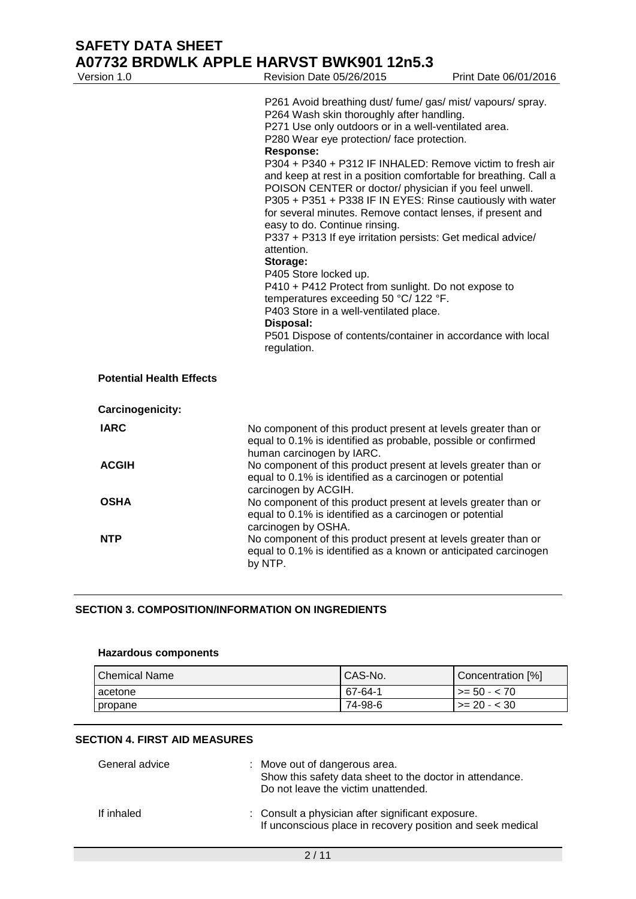| Version 1.0                     | Revision Date 05/26/2015                                                                                                                                                                                                                                                                                                                                                                                                                                                                                                                                                                                                                                                                                                                                                                                                                                                                                                                         | Print Date 06/01/2016 |
|---------------------------------|--------------------------------------------------------------------------------------------------------------------------------------------------------------------------------------------------------------------------------------------------------------------------------------------------------------------------------------------------------------------------------------------------------------------------------------------------------------------------------------------------------------------------------------------------------------------------------------------------------------------------------------------------------------------------------------------------------------------------------------------------------------------------------------------------------------------------------------------------------------------------------------------------------------------------------------------------|-----------------------|
|                                 | P261 Avoid breathing dust/ fume/ gas/ mist/ vapours/ spray.<br>P264 Wash skin thoroughly after handling.<br>P271 Use only outdoors or in a well-ventilated area.<br>P280 Wear eye protection/face protection.<br><b>Response:</b><br>P304 + P340 + P312 IF INHALED: Remove victim to fresh air<br>and keep at rest in a position comfortable for breathing. Call a<br>POISON CENTER or doctor/ physician if you feel unwell.<br>P305 + P351 + P338 IF IN EYES: Rinse cautiously with water<br>for several minutes. Remove contact lenses, if present and<br>easy to do. Continue rinsing.<br>P337 + P313 If eye irritation persists: Get medical advice/<br>attention.<br>Storage:<br>P405 Store locked up.<br>P410 + P412 Protect from sunlight. Do not expose to<br>temperatures exceeding 50 °C/ 122 °F.<br>P403 Store in a well-ventilated place.<br>Disposal:<br>P501 Dispose of contents/container in accordance with local<br>regulation. |                       |
| <b>Potential Health Effects</b> |                                                                                                                                                                                                                                                                                                                                                                                                                                                                                                                                                                                                                                                                                                                                                                                                                                                                                                                                                  |                       |
| Carcinogenicity:                |                                                                                                                                                                                                                                                                                                                                                                                                                                                                                                                                                                                                                                                                                                                                                                                                                                                                                                                                                  |                       |
| <b>IARC</b>                     | No component of this product present at levels greater than or<br>equal to 0.1% is identified as probable, possible or confirmed<br>human carcinogen by IARC.                                                                                                                                                                                                                                                                                                                                                                                                                                                                                                                                                                                                                                                                                                                                                                                    |                       |
| <b>ACGIH</b>                    | No component of this product present at levels greater than or<br>equal to 0.1% is identified as a carcinogen or potential<br>carcinogen by ACGIH.                                                                                                                                                                                                                                                                                                                                                                                                                                                                                                                                                                                                                                                                                                                                                                                               |                       |
| <b>OSHA</b>                     | No component of this product present at levels greater than or<br>equal to 0.1% is identified as a carcinogen or potential<br>carcinogen by OSHA.                                                                                                                                                                                                                                                                                                                                                                                                                                                                                                                                                                                                                                                                                                                                                                                                |                       |
| <b>NTP</b>                      | No component of this product present at levels greater than or<br>equal to 0.1% is identified as a known or anticipated carcinogen<br>by NTP.                                                                                                                                                                                                                                                                                                                                                                                                                                                                                                                                                                                                                                                                                                                                                                                                    |                       |

## **SECTION 3. COMPOSITION/INFORMATION ON INGREDIENTS**

## **Hazardous components**

| <b>Chemical Name</b> | CAS-No. | Concentration [%] |
|----------------------|---------|-------------------|
| acetone              | 67-64-1 | l >= 50 - < 70    |
| propane              | 74-98-6 | $>= 20 - < 30$    |

#### **SECTION 4. FIRST AID MEASURES**

| General advice | : Move out of dangerous area.<br>Show this safety data sheet to the doctor in attendance.<br>Do not leave the victim unattended. |
|----------------|----------------------------------------------------------------------------------------------------------------------------------|
| If inhaled     | : Consult a physician after significant exposure.<br>If unconscious place in recovery position and seek medical                  |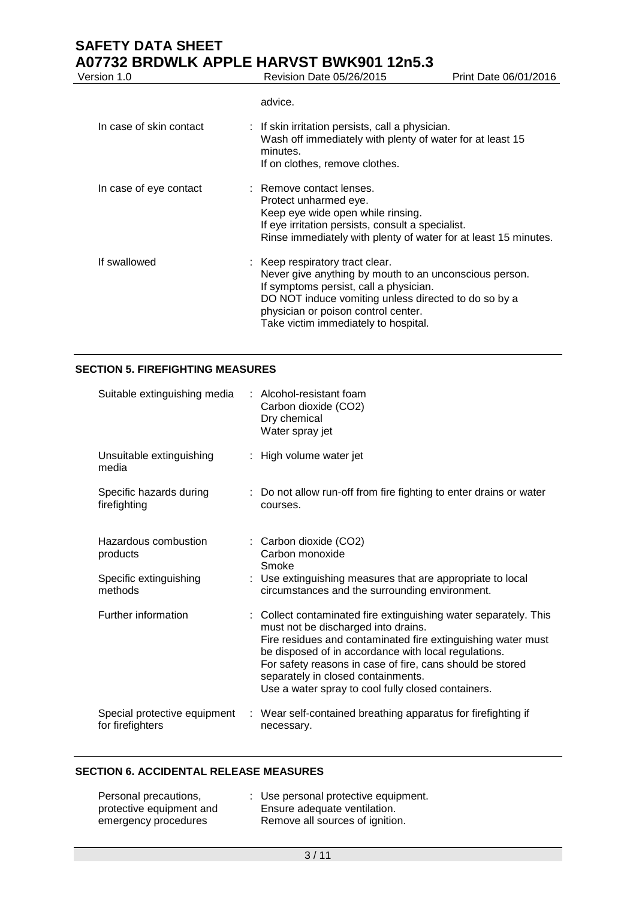Version 1.0 **Revision Date 05/26/2015** Print Date 06/01/2016

advice.

| In case of skin contact | : If skin irritation persists, call a physician.<br>Wash off immediately with plenty of water for at least 15<br>minutes.<br>If on clothes, remove clothes.                                                                                                                |
|-------------------------|----------------------------------------------------------------------------------------------------------------------------------------------------------------------------------------------------------------------------------------------------------------------------|
| In case of eye contact  | : Remove contact lenses.<br>Protect unharmed eye.<br>Keep eye wide open while rinsing.<br>If eye irritation persists, consult a specialist.<br>Rinse immediately with plenty of water for at least 15 minutes.                                                             |
| If swallowed            | : Keep respiratory tract clear.<br>Never give anything by mouth to an unconscious person.<br>If symptoms persist, call a physician.<br>DO NOT induce vomiting unless directed to do so by a<br>physician or poison control center.<br>Take victim immediately to hospital. |

## **SECTION 5. FIREFIGHTING MEASURES**

| Suitable extinguishing media                     | : Alcohol-resistant foam<br>Carbon dioxide (CO2)<br>Dry chemical<br>Water spray jet                                                                                                                                                                                                                                                                                                      |
|--------------------------------------------------|------------------------------------------------------------------------------------------------------------------------------------------------------------------------------------------------------------------------------------------------------------------------------------------------------------------------------------------------------------------------------------------|
| Unsuitable extinguishing<br>media                | : High volume water jet                                                                                                                                                                                                                                                                                                                                                                  |
| Specific hazards during<br>firefighting          | : Do not allow run-off from fire fighting to enter drains or water<br>courses.                                                                                                                                                                                                                                                                                                           |
| Hazardous combustion<br>products                 | : Carbon dioxide (CO2)<br>Carbon monoxide<br>Smoke                                                                                                                                                                                                                                                                                                                                       |
| Specific extinguishing<br>methods                | Use extinguishing measures that are appropriate to local<br>circumstances and the surrounding environment.                                                                                                                                                                                                                                                                               |
| Further information                              | : Collect contaminated fire extinguishing water separately. This<br>must not be discharged into drains.<br>Fire residues and contaminated fire extinguishing water must<br>be disposed of in accordance with local regulations.<br>For safety reasons in case of fire, cans should be stored<br>separately in closed containments.<br>Use a water spray to cool fully closed containers. |
| Special protective equipment<br>for firefighters | : Wear self-contained breathing apparatus for firefighting if<br>necessary.                                                                                                                                                                                                                                                                                                              |

## **SECTION 6. ACCIDENTAL RELEASE MEASURES**

| Personal precautions,    | : Use personal protective equipment. |
|--------------------------|--------------------------------------|
| protective equipment and | Ensure adequate ventilation.         |
| emergency procedures     | Remove all sources of ignition.      |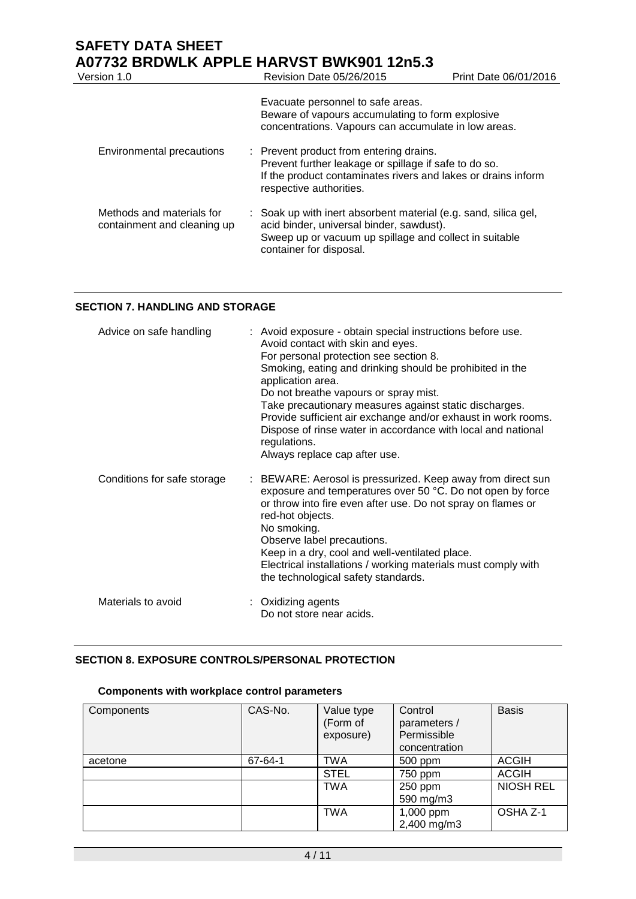# **SAFETY DATA SHEET A07732 BRDWLK APPLE HARVST BWK901 12n5.3**<br>Version 1.0 Revision Date 05/26/2015

| Version 1.0                                              | Revision Date 05/26/2015                                                                                                                                                                         | Print Date 06/01/2016 |
|----------------------------------------------------------|--------------------------------------------------------------------------------------------------------------------------------------------------------------------------------------------------|-----------------------|
|                                                          | Evacuate personnel to safe areas.<br>Beware of vapours accumulating to form explosive<br>concentrations. Vapours can accumulate in low areas.                                                    |                       |
| <b>Environmental precautions</b>                         | : Prevent product from entering drains.<br>Prevent further leakage or spillage if safe to do so.<br>If the product contaminates rivers and lakes or drains inform<br>respective authorities.     |                       |
| Methods and materials for<br>containment and cleaning up | : Soak up with inert absorbent material (e.g. sand, silica gel,<br>acid binder, universal binder, sawdust).<br>Sweep up or vacuum up spillage and collect in suitable<br>container for disposal. |                       |

## **SECTION 7. HANDLING AND STORAGE**

| Advice on safe handling     | : Avoid exposure - obtain special instructions before use.<br>Avoid contact with skin and eyes.<br>For personal protection see section 8.<br>Smoking, eating and drinking should be prohibited in the<br>application area.<br>Do not breathe vapours or spray mist.<br>Take precautionary measures against static discharges.<br>Provide sufficient air exchange and/or exhaust in work rooms.<br>Dispose of rinse water in accordance with local and national<br>regulations.<br>Always replace cap after use. |  |
|-----------------------------|-----------------------------------------------------------------------------------------------------------------------------------------------------------------------------------------------------------------------------------------------------------------------------------------------------------------------------------------------------------------------------------------------------------------------------------------------------------------------------------------------------------------|--|
| Conditions for safe storage | : BEWARE: Aerosol is pressurized. Keep away from direct sun<br>exposure and temperatures over 50 °C. Do not open by force<br>or throw into fire even after use. Do not spray on flames or<br>red-hot objects.<br>No smoking.<br>Observe label precautions.<br>Keep in a dry, cool and well-ventilated place.<br>Electrical installations / working materials must comply with<br>the technological safety standards.                                                                                            |  |
| Materials to avoid          | : Oxidizing agents<br>Do not store near acids.                                                                                                                                                                                                                                                                                                                                                                                                                                                                  |  |

## **SECTION 8. EXPOSURE CONTROLS/PERSONAL PROTECTION**

## **Components with workplace control parameters**

| Components | CAS-No. | Value type<br>(Form of<br>exposure) | Control<br>parameters /<br>Permissible<br>concentration | <b>Basis</b>     |
|------------|---------|-------------------------------------|---------------------------------------------------------|------------------|
| acetone    | 67-64-1 | TWA                                 | 500 ppm                                                 | <b>ACGIH</b>     |
|            |         | <b>STEL</b>                         | 750 ppm                                                 | <b>ACGIH</b>     |
|            |         | <b>TWA</b>                          | 250 ppm                                                 | <b>NIOSH REL</b> |
|            |         |                                     | 590 mg/m3                                               |                  |
|            |         | <b>TWA</b>                          | 1,000 ppm<br>2,400 mg/m3                                | OSHA Z-1         |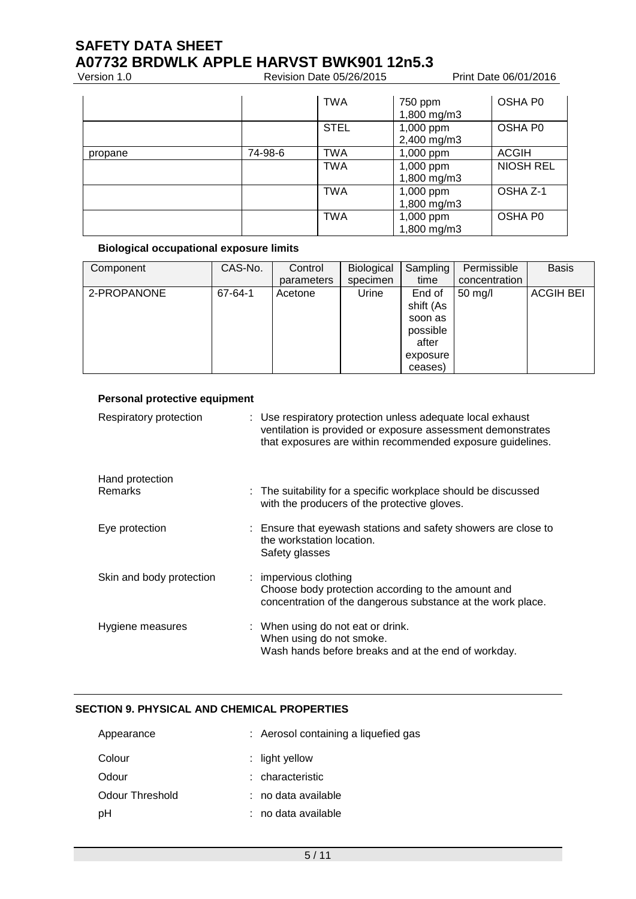## **SAFETY DATA SHEET A07732 BRDWLK APPLE HARVST BWK901 12n5.3**<br> **Pevision Date 05/26/2015** Version 1.0 **Revision Date 05/26/2015** Print Date 06/01/2016

|         |         | <b>TWA</b>  | 750 ppm<br>1,800 mg/m3   | OSHA P0          |
|---------|---------|-------------|--------------------------|------------------|
|         |         | <b>STEL</b> | 1,000 ppm<br>2,400 mg/m3 | OSHA P0          |
| propane | 74-98-6 | <b>TWA</b>  | 1,000 ppm                | <b>ACGIH</b>     |
|         |         | <b>TWA</b>  | 1,000 ppm<br>1,800 mg/m3 | <b>NIOSH REL</b> |
|         |         | <b>TWA</b>  | 1,000 ppm<br>1,800 mg/m3 | OSHA Z-1         |
|         |         | <b>TWA</b>  | 1,000 ppm<br>1,800 mg/m3 | OSHA P0          |

## **Biological occupational exposure limits**

| Component   | CAS-No. | Control    | Biological | Sampling  | Permissible       | <b>Basis</b>     |
|-------------|---------|------------|------------|-----------|-------------------|------------------|
|             |         | parameters | specimen   | time      | concentration     |                  |
| 2-PROPANONE | 67-64-1 | Acetone    | Urine      | End of    | $50 \text{ mg/l}$ | <b>ACGIH BEI</b> |
|             |         |            |            | shift (As |                   |                  |
|             |         |            |            | soon as   |                   |                  |
|             |         |            |            | possible  |                   |                  |
|             |         |            |            | after     |                   |                  |
|             |         |            |            | exposure  |                   |                  |
|             |         |            |            | ceases)   |                   |                  |

## **Personal protective equipment**

| Respiratory protection     | : Use respiratory protection unless adequate local exhaust<br>ventilation is provided or exposure assessment demonstrates<br>that exposures are within recommended exposure guidelines. |
|----------------------------|-----------------------------------------------------------------------------------------------------------------------------------------------------------------------------------------|
| Hand protection<br>Remarks | : The suitability for a specific workplace should be discussed<br>with the producers of the protective gloves.                                                                          |
| Eye protection             | : Ensure that eyewash stations and safety showers are close to<br>the workstation location.<br>Safety glasses                                                                           |
| Skin and body protection   | : impervious clothing<br>Choose body protection according to the amount and<br>concentration of the dangerous substance at the work place.                                              |
| Hygiene measures           | : When using do not eat or drink.<br>When using do not smoke.<br>Wash hands before breaks and at the end of workday.                                                                    |

## **SECTION 9. PHYSICAL AND CHEMICAL PROPERTIES**

| Appearance      | : Aerosol containing a liquefied gas |
|-----------------|--------------------------------------|
| Colour          | $:$ light yellow                     |
| Odour           | : characteristic                     |
| Odour Threshold | ∴ no data available.                 |
| рH              | $:$ no data available                |
|                 |                                      |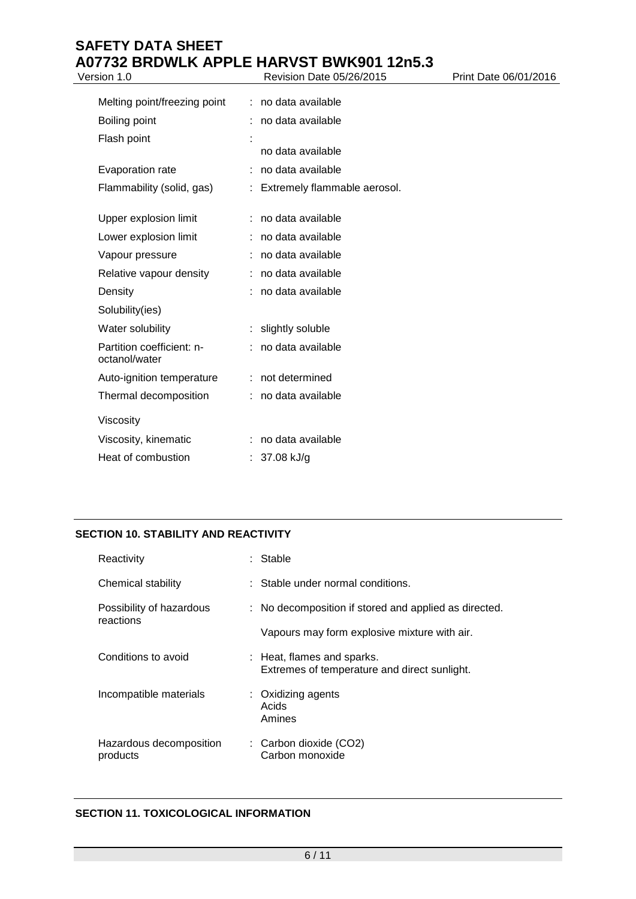| Melting point/freezing point               |    | : no data available          |
|--------------------------------------------|----|------------------------------|
| Boiling point                              |    | no data available            |
| Flash point                                | t  |                              |
|                                            |    | no data available            |
| Evaporation rate                           |    | no data available            |
| Flammability (solid, gas)                  | ÷. | Extremely flammable aerosol. |
| Upper explosion limit                      |    | no data available            |
| Lower explosion limit                      |    | no data available            |
| Vapour pressure                            |    | no data available            |
| Relative vapour density                    |    | no data available            |
| Density                                    |    | no data available            |
| Solubility(ies)                            |    |                              |
| Water solubility                           |    | slightly soluble             |
| Partition coefficient: n-<br>octanol/water |    | no data available            |
| Auto-ignition temperature                  |    | : not determined             |
| Thermal decomposition                      | t. | no data available            |
| Viscosity                                  |    |                              |
| Viscosity, kinematic                       |    | no data available            |
| Heat of combustion                         |    | 37.08 kJ/g                   |
|                                            |    |                              |

## **SECTION 10. STABILITY AND REACTIVITY**

| Reactivity                            | : Stable                                                                   |
|---------------------------------------|----------------------------------------------------------------------------|
| Chemical stability                    | : Stable under normal conditions.                                          |
| Possibility of hazardous<br>reactions | : No decomposition if stored and applied as directed.                      |
|                                       | Vapours may form explosive mixture with air.                               |
| Conditions to avoid                   | : Heat, flames and sparks.<br>Extremes of temperature and direct sunlight. |
| Incompatible materials                | : Oxidizing agents<br>Acids<br>Amines                                      |
| Hazardous decomposition<br>products   | $\therefore$ Carbon dioxide (CO2)<br>Carbon monoxide                       |

## **SECTION 11. TOXICOLOGICAL INFORMATION**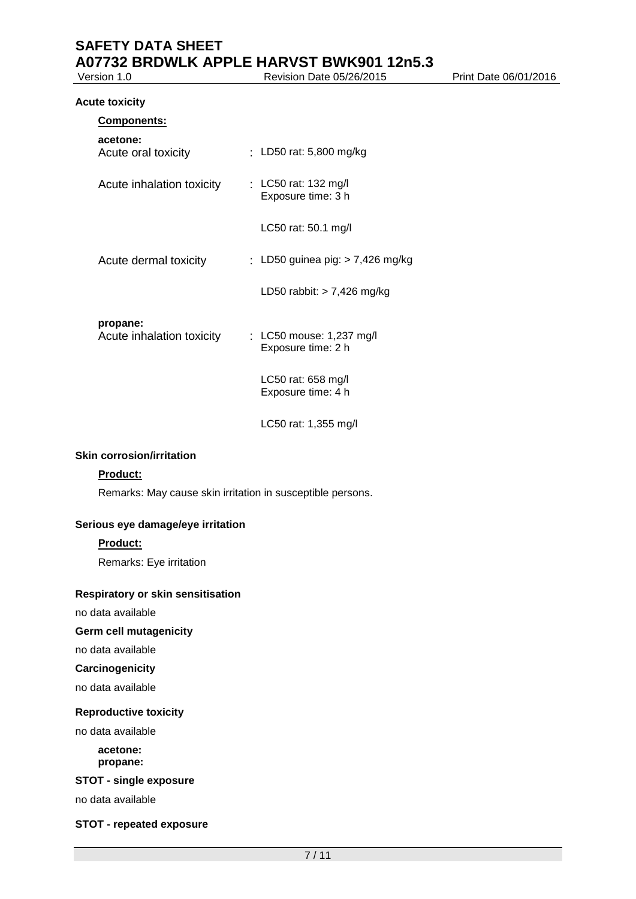Revision Date 05/26/2015 Print Date 06/01/2016

#### **Acute toxicity**

| <b>Components:</b>                    |                                                |
|---------------------------------------|------------------------------------------------|
| acetone:<br>Acute oral toxicity       | : LD50 rat: 5,800 mg/kg                        |
| Acute inhalation toxicity             | : LC50 rat: 132 mg/l<br>Exposure time: 3 h     |
|                                       | LC50 rat: 50.1 mg/l                            |
| Acute dermal toxicity                 | : LD50 guinea pig: $> 7,426$ mg/kg             |
|                                       | LD50 rabbit: > 7,426 mg/kg                     |
| propane:<br>Acute inhalation toxicity | : LC50 mouse: 1,237 mg/l<br>Exposure time: 2 h |
|                                       | LC50 rat: 658 mg/l<br>Exposure time: 4 h       |

LC50 rat: 1,355 mg/l

## **Skin corrosion/irritation**

### **Product:**

Remarks: May cause skin irritation in susceptible persons.

## **Serious eye damage/eye irritation**

## **Product:**

Remarks: Eye irritation

### **Respiratory or skin sensitisation**

no data available

## **Germ cell mutagenicity**

no data available

## **Carcinogenicity**

no data available

#### **Reproductive toxicity**

no data available

**acetone: propane:**

## **STOT - single exposure**

no data available

### **STOT - repeated exposure**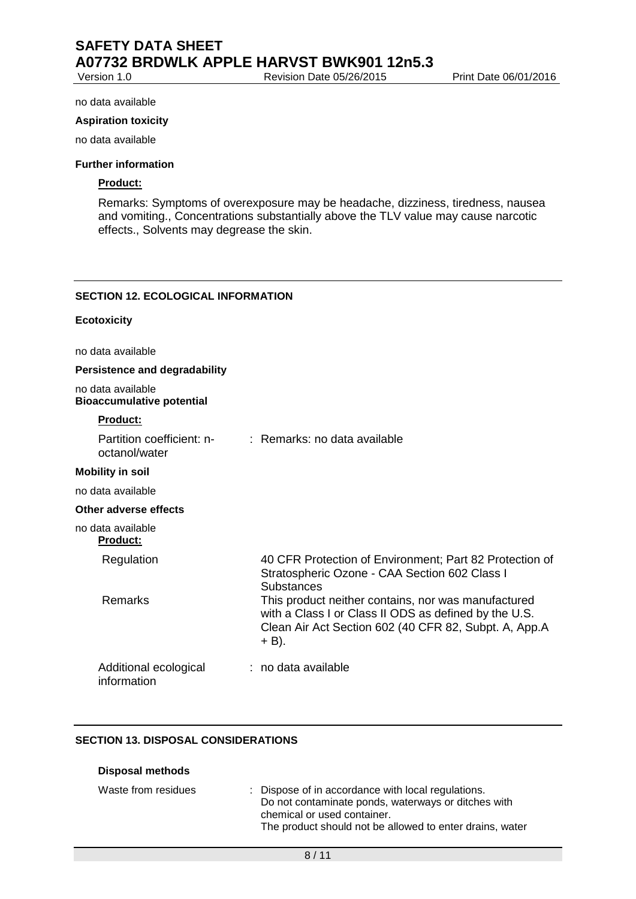Revision Date 05/26/2015 Print Date 06/01/2016

#### no data available

#### **Aspiration toxicity**

no data available

### **Further information**

## **Product:**

Remarks: Symptoms of overexposure may be headache, dizziness, tiredness, nausea and vomiting., Concentrations substantially above the TLV value may cause narcotic effects., Solvents may degrease the skin.

### **SECTION 12. ECOLOGICAL INFORMATION**

### **Ecotoxicity**

no data available

## **Persistence and degradability**

no data available **Bioaccumulative potential**

### **Product:**

| Partition coefficient: n-<br>octanol/water | $\pm$ Remarks: no data available.                                                                                                                                                |
|--------------------------------------------|----------------------------------------------------------------------------------------------------------------------------------------------------------------------------------|
| <b>Mobility in soil</b>                    |                                                                                                                                                                                  |
| no data available                          |                                                                                                                                                                                  |
| Other adverse effects                      |                                                                                                                                                                                  |
| no data available<br><b>Product:</b>       |                                                                                                                                                                                  |
| Regulation                                 | 40 CFR Protection of Environment; Part 82 Protection of<br>Stratospheric Ozone - CAA Section 602 Class I<br>Substances                                                           |
| Remarks                                    | This product neither contains, nor was manufactured<br>with a Class I or Class II ODS as defined by the U.S.<br>Clean Air Act Section 602 (40 CFR 82, Subpt. A, App.A<br>$+$ B). |
| Additional ecological<br>information       | $:$ no data available.                                                                                                                                                           |

#### **SECTION 13. DISPOSAL CONSIDERATIONS**

**Disposal methods**

| Waste from residues | : Dispose of in accordance with local regulations.<br>Do not contaminate ponds, waterways or ditches with<br>chemical or used container. |
|---------------------|------------------------------------------------------------------------------------------------------------------------------------------|
|                     | The product should not be allowed to enter drains, water                                                                                 |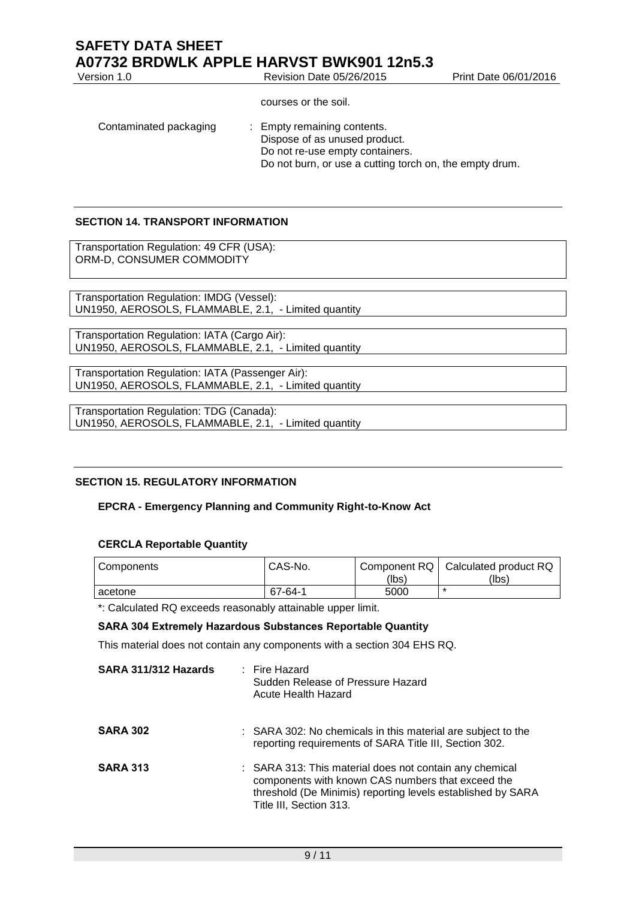Version 1.0 Revision Date 05/26/2015 Print Date 06/01/2016 courses or the soil. Contaminated packaging : Empty remaining contents. Dispose of as unused product. Do not re-use empty containers. Do not burn, or use a cutting torch on, the empty drum.

## **SECTION 14. TRANSPORT INFORMATION**

Transportation Regulation: 49 CFR (USA): ORM-D, CONSUMER COMMODITY

Transportation Regulation: IMDG (Vessel): UN1950, AEROSOLS, FLAMMABLE, 2.1, - Limited quantity

Transportation Regulation: IATA (Cargo Air): UN1950, AEROSOLS, FLAMMABLE, 2.1, - Limited quantity

Transportation Regulation: IATA (Passenger Air): UN1950, AEROSOLS, FLAMMABLE, 2.1, - Limited quantity

Transportation Regulation: TDG (Canada): UN1950, AEROSOLS, FLAMMABLE, 2.1, - Limited quantity

## **SECTION 15. REGULATORY INFORMATION**

## **EPCRA - Emergency Planning and Community Right-to-Know Act**

## **CERCLA Reportable Quantity**

| l Components | CAS-No. | (lbs) | Component RQ   Calculated product RQ<br>(lbs) |
|--------------|---------|-------|-----------------------------------------------|
| acetone      | 67-64-1 | 5000  |                                               |

\*: Calculated RQ exceeds reasonably attainable upper limit.

## **SARA 304 Extremely Hazardous Substances Reportable Quantity**

This material does not contain any components with a section 304 EHS RQ.

| SARA 311/312 Hazards | $:$ Fire Hazard<br>Sudden Release of Pressure Hazard<br>Acute Health Hazard                                                                                                                            |
|----------------------|--------------------------------------------------------------------------------------------------------------------------------------------------------------------------------------------------------|
| <b>SARA 302</b>      | : SARA 302: No chemicals in this material are subject to the<br>reporting requirements of SARA Title III, Section 302.                                                                                 |
| <b>SARA 313</b>      | : SARA 313: This material does not contain any chemical<br>components with known CAS numbers that exceed the<br>threshold (De Minimis) reporting levels established by SARA<br>Title III, Section 313. |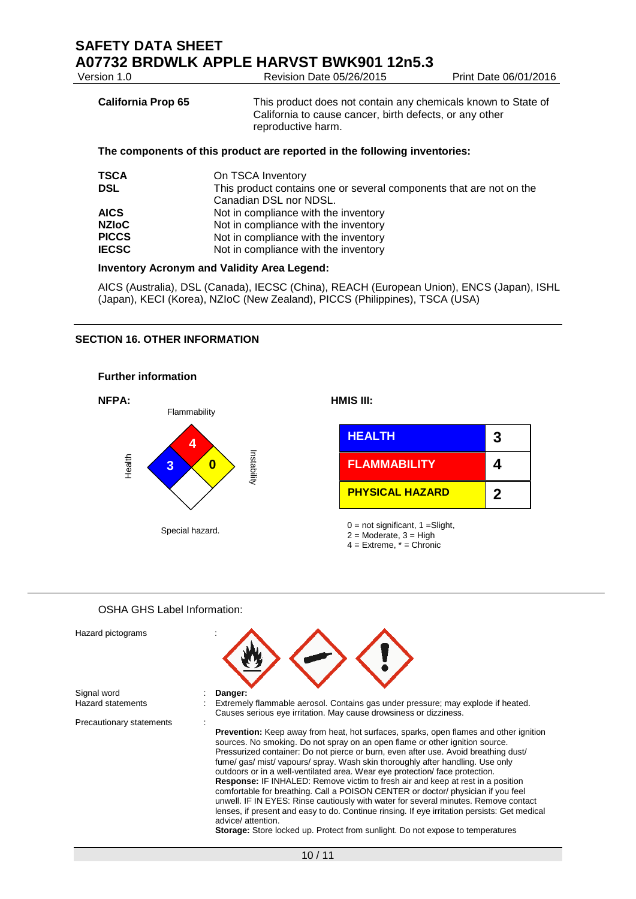# **SAFETY DATA SHEET A07732 BRDWLK APPLE HARVST BWK901 12n5.3**<br>Version 1.0 Revision Date 05/26/2015

| Version 1.0               | Revision Date 05/26/2015                                                                                                                       | Print Date 06/01/2016 |  |
|---------------------------|------------------------------------------------------------------------------------------------------------------------------------------------|-----------------------|--|
| <b>California Prop 65</b> | This product does not contain any chemicals known to State of<br>California to cause cancer, birth defects, or any other<br>reproductive harm. |                       |  |
|                           | The components of this product are reported in the following inventories:                                                                      |                       |  |
| <b>TSCA</b>               | On TSCA Inventory                                                                                                                              |                       |  |
| <b>DSL</b>                | This product contains one or several components that are not on the<br>Canadian DSL nor NDSL.                                                  |                       |  |
| <b>AICS</b>               | Not in compliance with the inventory                                                                                                           |                       |  |
| <b>NZIOC</b>              | Not in compliance with the inventory                                                                                                           |                       |  |
| <b>PICCS</b>              | Not in compliance with the inventory                                                                                                           |                       |  |

#### **PICCS** Not in compliance with the inventory<br>**IECSC** Not in compliance with the inventory Not in compliance with the inventory

### **Inventory Acronym and Validity Area Legend:**

AICS (Australia), DSL (Canada), IECSC (China), REACH (European Union), ENCS (Japan), ISHL (Japan), KECI (Korea), NZIoC (New Zealand), PICCS (Philippines), TSCA (USA)

## **SECTION 16. OTHER INFORMATION**



## OSHA GHS Label Information:

| Hazard pictograms        |                                                                                                                                                                                                                                                                                                                                                                                                                                                                                                                                                                                                                                                                                                                                                                                                                                                                                                                     |
|--------------------------|---------------------------------------------------------------------------------------------------------------------------------------------------------------------------------------------------------------------------------------------------------------------------------------------------------------------------------------------------------------------------------------------------------------------------------------------------------------------------------------------------------------------------------------------------------------------------------------------------------------------------------------------------------------------------------------------------------------------------------------------------------------------------------------------------------------------------------------------------------------------------------------------------------------------|
| Signal word              | Danger:                                                                                                                                                                                                                                                                                                                                                                                                                                                                                                                                                                                                                                                                                                                                                                                                                                                                                                             |
| <b>Hazard statements</b> | Extremely flammable aerosol. Contains gas under pressure; may explode if heated.<br>Causes serious eye irritation. May cause drowsiness or dizziness.                                                                                                                                                                                                                                                                                                                                                                                                                                                                                                                                                                                                                                                                                                                                                               |
| Precautionary statements |                                                                                                                                                                                                                                                                                                                                                                                                                                                                                                                                                                                                                                                                                                                                                                                                                                                                                                                     |
|                          | <b>Prevention:</b> Keep away from heat, hot surfaces, sparks, open flames and other ignition<br>sources. No smoking. Do not spray on an open flame or other ignition source.<br>Pressurized container: Do not pierce or burn, even after use. Avoid breathing dust/<br>fume/gas/mist/vapours/spray. Wash skin thoroughly after handling. Use only<br>outdoors or in a well-ventilated area. Wear eye protection/face protection.<br><b>Response:</b> IF INHALED: Remove victim to fresh air and keep at rest in a position<br>comfortable for breathing. Call a POISON CENTER or doctor/ physician if you feel<br>unwell. IF IN EYES: Rinse cautiously with water for several minutes. Remove contact<br>lenses, if present and easy to do. Continue rinsing. If eye irritation persists: Get medical<br>advice/attention.<br><b>Storage:</b> Store locked up. Protect from sunlight. Do not expose to temperatures |